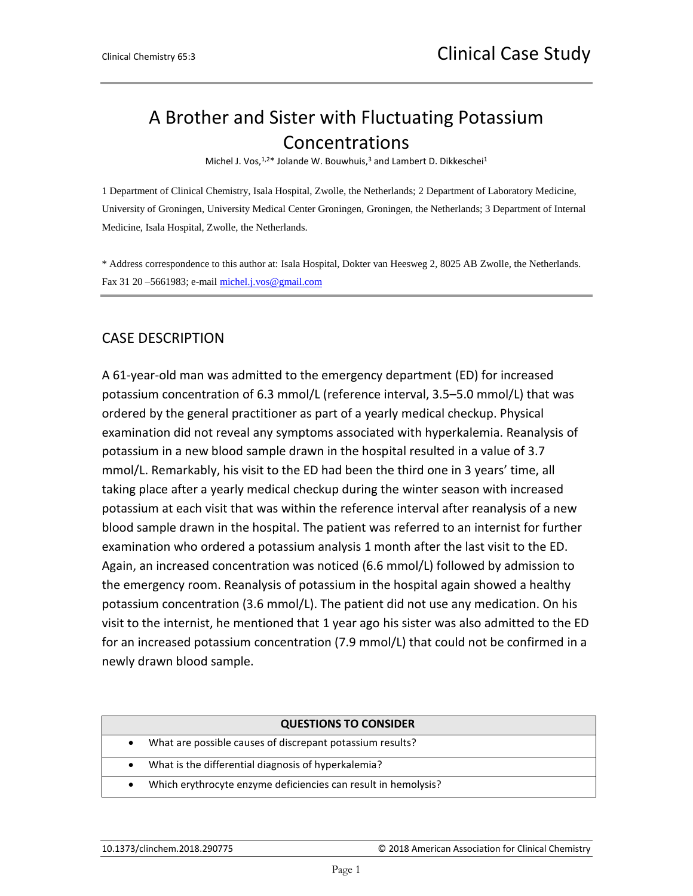## A Brother and Sister with Fluctuating Potassium Concentrations

Michel J. Vos, 1,2\* Jolande W. Bouwhuis,<sup>3</sup> and Lambert D. Dikkeschei<sup>1</sup>

1 Department of Clinical Chemistry, Isala Hospital, Zwolle, the Netherlands; 2 Department of Laboratory Medicine, University of Groningen, University Medical Center Groningen, Groningen, the Netherlands; 3 Department of Internal Medicine, Isala Hospital, Zwolle, the Netherlands.

\* Address correspondence to this author at: Isala Hospital, Dokter van Heesweg 2, 8025 AB Zwolle, the Netherlands. Fax 31 20 –5661983; e-mail [michel.j.vos@gmail.com](mailto:michel.j.vos@gmail.com)

## CASE DESCRIPTION

A 61-year-old man was admitted to the emergency department (ED) for increased potassium concentration of 6.3 mmol/L (reference interval, 3.5–5.0 mmol/L) that was ordered by the general practitioner as part of a yearly medical checkup. Physical examination did not reveal any symptoms associated with hyperkalemia. Reanalysis of potassium in a new blood sample drawn in the hospital resulted in a value of 3.7 mmol/L. Remarkably, his visit to the ED had been the third one in 3 years' time, all taking place after a yearly medical checkup during the winter season with increased potassium at each visit that was within the reference interval after reanalysis of a new blood sample drawn in the hospital. The patient was referred to an internist for further examination who ordered a potassium analysis 1 month after the last visit to the ED. Again, an increased concentration was noticed (6.6 mmol/L) followed by admission to the emergency room. Reanalysis of potassium in the hospital again showed a healthy potassium concentration (3.6 mmol/L). The patient did not use any medication. On his visit to the internist, he mentioned that 1 year ago his sister was also admitted to the ED for an increased potassium concentration (7.9 mmol/L) that could not be confirmed in a newly drawn blood sample.

|           | <b>QUESTIONS TO CONSIDER</b>                                   |
|-----------|----------------------------------------------------------------|
| ٠         | What are possible causes of discrepant potassium results?      |
| $\bullet$ | What is the differential diagnosis of hyperkalemia?            |
|           | Which erythrocyte enzyme deficiencies can result in hemolysis? |